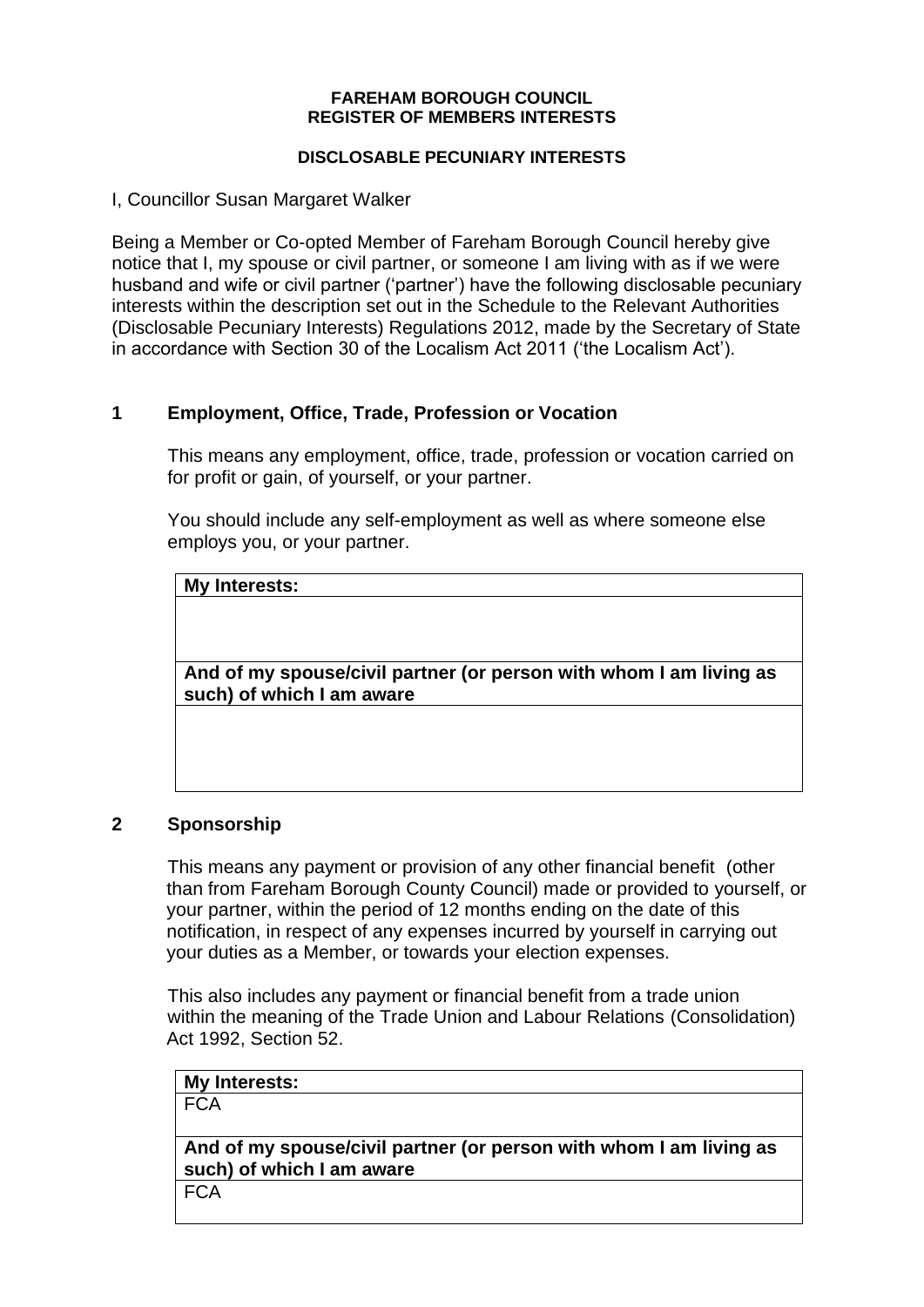#### **FAREHAM BOROUGH COUNCIL REGISTER OF MEMBERS INTERESTS**

### **DISCLOSABLE PECUNIARY INTERESTS**

I, Councillor Susan Margaret Walker

Being a Member or Co-opted Member of Fareham Borough Council hereby give notice that I, my spouse or civil partner, or someone I am living with as if we were husband and wife or civil partner ('partner') have the following disclosable pecuniary interests within the description set out in the Schedule to the Relevant Authorities (Disclosable Pecuniary Interests) Regulations 2012, made by the Secretary of State in accordance with Section 30 of the Localism Act 2011 ('the Localism Act').

# **1 Employment, Office, Trade, Profession or Vocation**

This means any employment, office, trade, profession or vocation carried on for profit or gain, of yourself, or your partner.

You should include any self-employment as well as where someone else employs you, or your partner.

|  | <b>My Interests:</b> |
|--|----------------------|
|--|----------------------|

**And of my spouse/civil partner (or person with whom I am living as such) of which I am aware**

## **2 Sponsorship**

This means any payment or provision of any other financial benefit (other than from Fareham Borough County Council) made or provided to yourself, or your partner, within the period of 12 months ending on the date of this notification, in respect of any expenses incurred by yourself in carrying out your duties as a Member, or towards your election expenses.

This also includes any payment or financial benefit from a trade union within the meaning of the Trade Union and Labour Relations (Consolidation) Act 1992, Section 52.

| My Interests:                                                      |  |
|--------------------------------------------------------------------|--|
| <b>FCA</b>                                                         |  |
|                                                                    |  |
| And of my spouse/civil partner (or person with whom I am living as |  |
| such) of which I am aware                                          |  |
|                                                                    |  |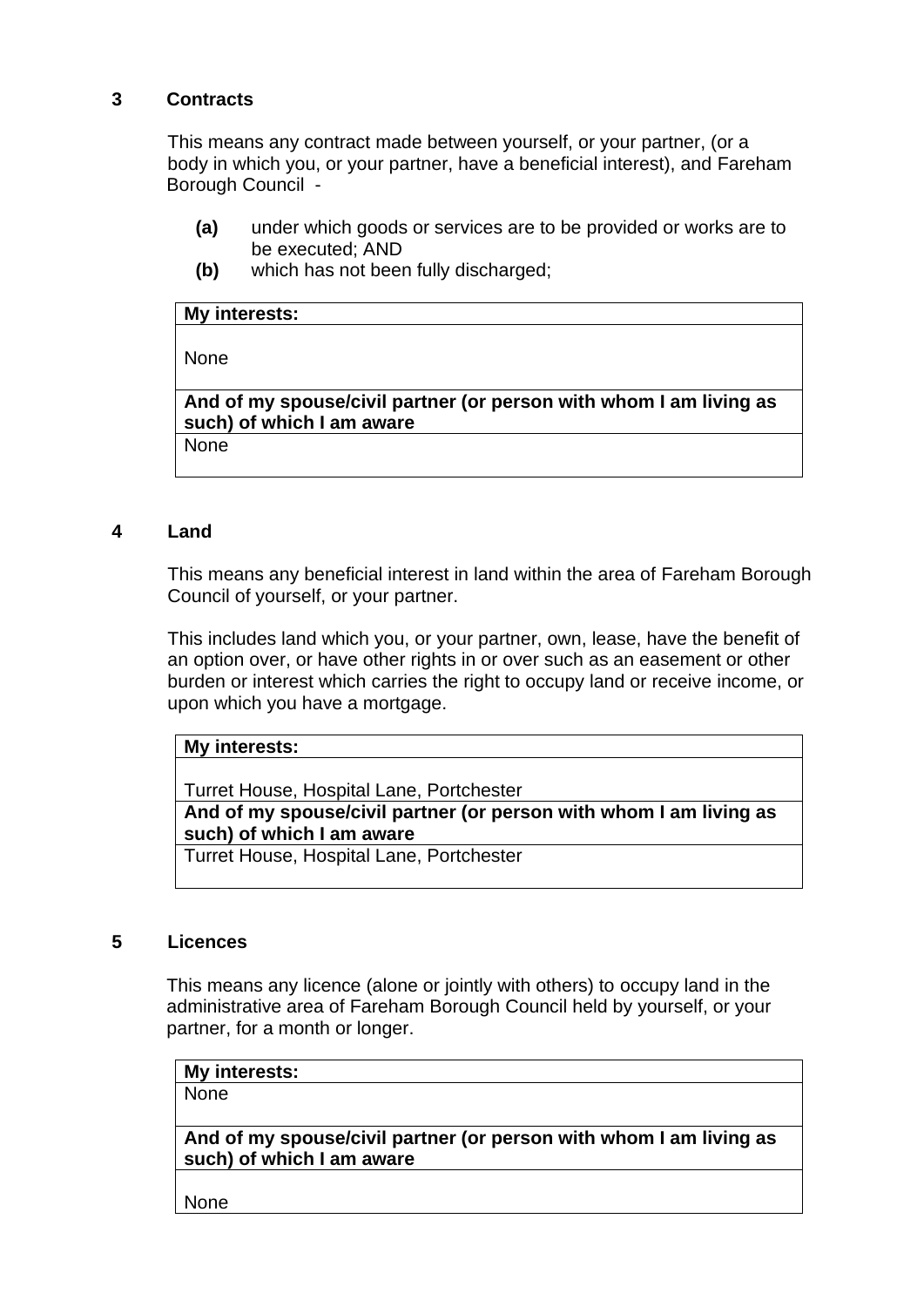## **3 Contracts**

This means any contract made between yourself, or your partner, (or a body in which you, or your partner, have a beneficial interest), and Fareham Borough Council -

- **(a)** under which goods or services are to be provided or works are to be executed; AND
- **(b)** which has not been fully discharged;

#### **My interests:**

None

**And of my spouse/civil partner (or person with whom I am living as such) of which I am aware**

None

## **4 Land**

This means any beneficial interest in land within the area of Fareham Borough Council of yourself, or your partner.

This includes land which you, or your partner, own, lease, have the benefit of an option over, or have other rights in or over such as an easement or other burden or interest which carries the right to occupy land or receive income, or upon which you have a mortgage.

### **My interests:**

Turret House, Hospital Lane, Portchester

**And of my spouse/civil partner (or person with whom I am living as such) of which I am aware**

Turret House, Hospital Lane, Portchester

#### **5 Licences**

This means any licence (alone or jointly with others) to occupy land in the administrative area of Fareham Borough Council held by yourself, or your partner, for a month or longer.

| My interests:                                                      |  |
|--------------------------------------------------------------------|--|
| <b>None</b>                                                        |  |
|                                                                    |  |
| And of my spouse/civil partner (or person with whom I am living as |  |
| such) of which I am aware                                          |  |
|                                                                    |  |

None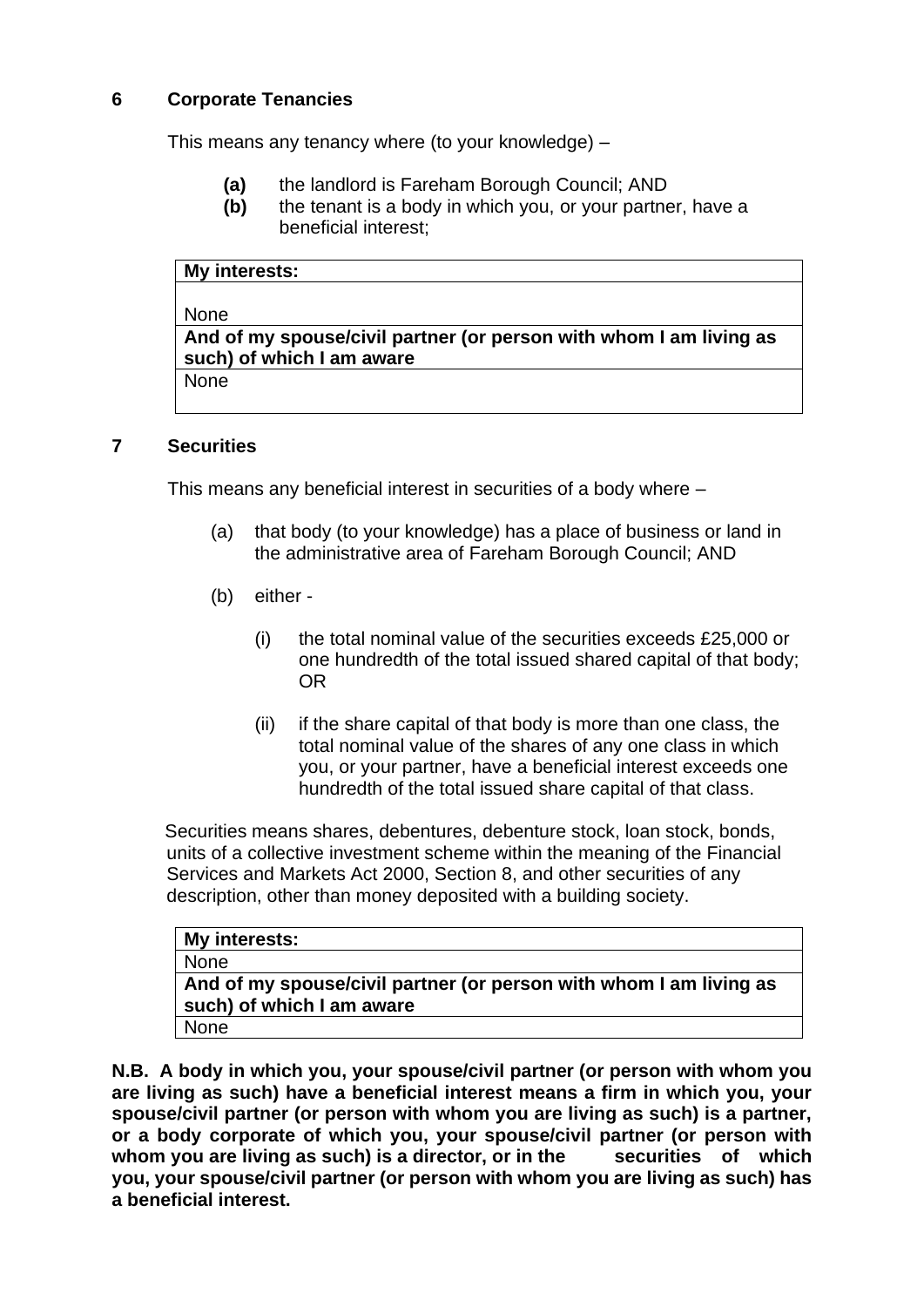# **6 Corporate Tenancies**

This means any tenancy where (to your knowledge) –

- **(a)** the landlord is Fareham Borough Council; AND
- **(b)** the tenant is a body in which you, or your partner, have a beneficial interest;

| My interests: |  |
|---------------|--|

### None

**And of my spouse/civil partner (or person with whom I am living as such) of which I am aware**

None

## **7 Securities**

This means any beneficial interest in securities of a body where –

- (a) that body (to your knowledge) has a place of business or land in the administrative area of Fareham Borough Council; AND
- (b) either
	- (i) the total nominal value of the securities exceeds £25,000 or one hundredth of the total issued shared capital of that body; OR
	- (ii) if the share capital of that body is more than one class, the total nominal value of the shares of any one class in which you, or your partner, have a beneficial interest exceeds one hundredth of the total issued share capital of that class.

Securities means shares, debentures, debenture stock, loan stock, bonds, units of a collective investment scheme within the meaning of the Financial Services and Markets Act 2000, Section 8, and other securities of any description, other than money deposited with a building society.

| My interests:                                                                                   |
|-------------------------------------------------------------------------------------------------|
| None                                                                                            |
| And of my spouse/civil partner (or person with whom I am living as<br>such) of which I am aware |
| None                                                                                            |

**N.B. A body in which you, your spouse/civil partner (or person with whom you are living as such) have a beneficial interest means a firm in which you, your spouse/civil partner (or person with whom you are living as such) is a partner, or a body corporate of which you, your spouse/civil partner (or person with**  whom you are living as such) is a director, or in the securities of which **you, your spouse/civil partner (or person with whom you are living as such) has a beneficial interest.**